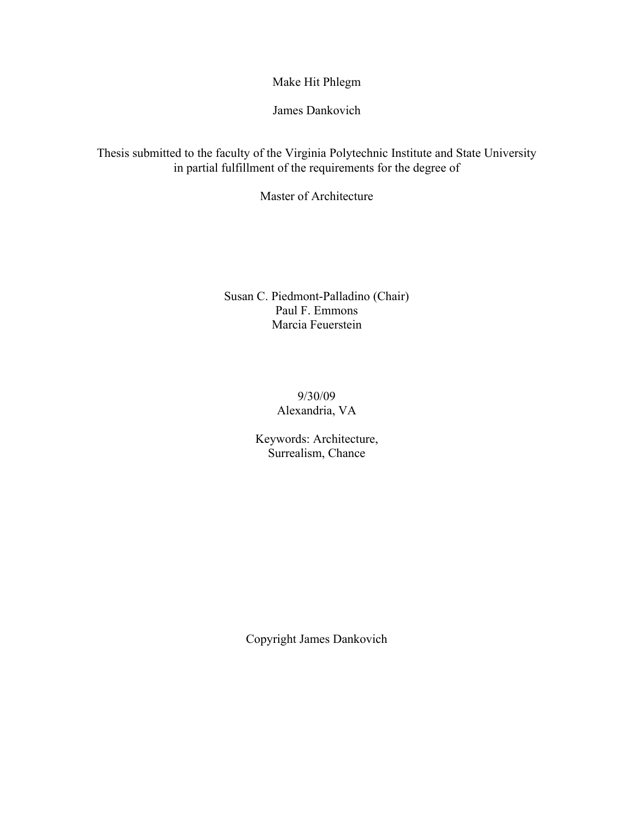James Dankovich

Thesis submitted to the faculty of the Virginia Polytechnic Institute and State University in partial fulfillment of the requirements for the degree of

Master of Architecture

Susan C. Piedmont-Palladino (Chair) Paul F. Emmons Marcia Feuerstein

> 9/30/09 Alexandria, VA

Keywords: Architecture, Surrealism, Chance

Copyright James Dankovich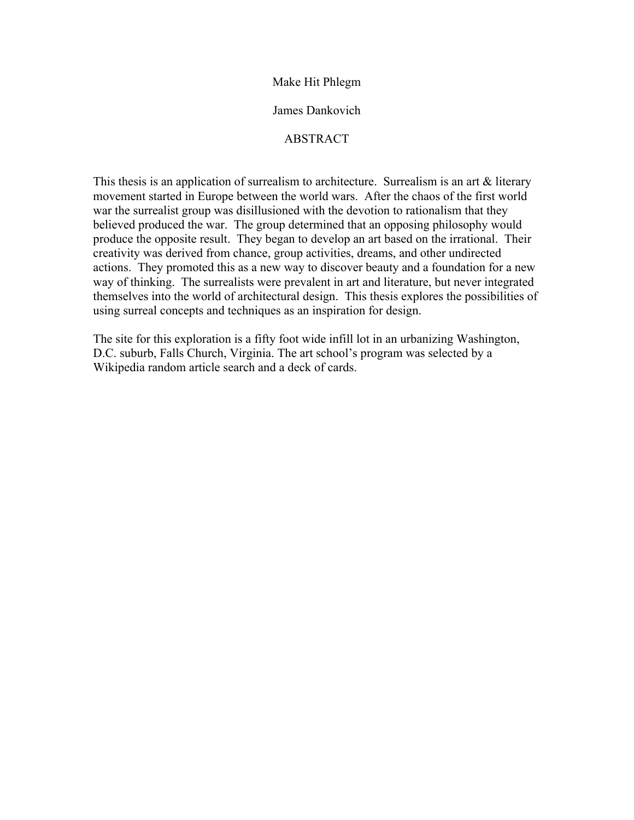#### James Dankovich

### **ABSTRACT**

This thesis is an application of surrealism to architecture. Surrealism is an art & literary movement started in Europe between the world wars. After the chaos of the first world war the surrealist group was disillusioned with the devotion to rationalism that they believed produced the war. The group determined that an opposing philosophy would produce the opposite result. They began to develop an art based on the irrational. Their creativity was derived from chance, group activities, dreams, and other undirected actions. They promoted this as a new way to discover beauty and a foundation for a new way of thinking. The surrealists were prevalent in art and literature, but never integrated themselves into the world of architectural design. This thesis explores the possibilities of using surreal concepts and techniques as an inspiration for design.

The site for this exploration is a fifty foot wide infill lot in an urbanizing Washington, D.C. suburb, Falls Church, Virginia. The art school's program was selected by a Wikipedia random article search and a deck of cards.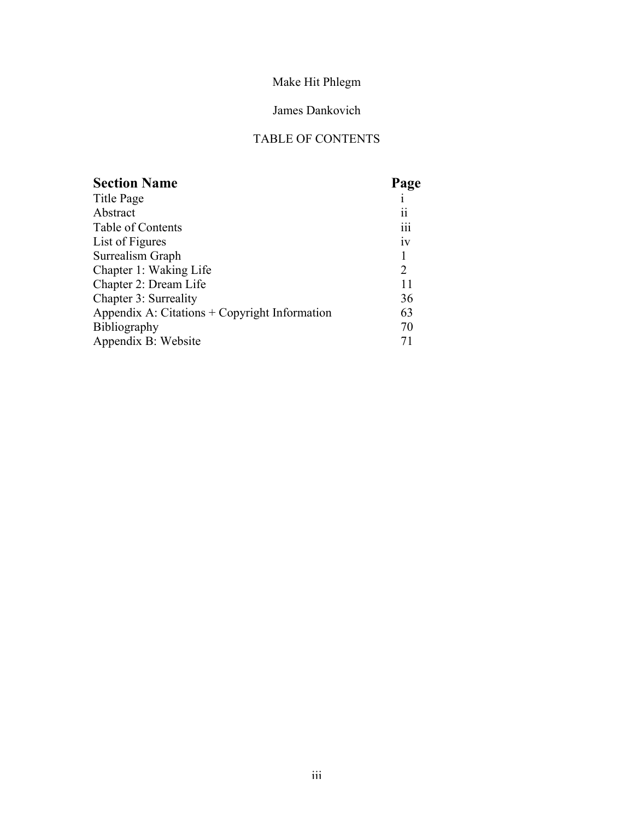## James Dankovich

## TABLE OF CONTENTS

| <b>Section Name</b>                           | Page           |
|-----------------------------------------------|----------------|
| Title Page                                    |                |
| Abstract                                      | 11             |
| Table of Contents                             | 111            |
| List of Figures                               | iv             |
| Surrealism Graph                              | 1              |
| Chapter 1: Waking Life                        | $\overline{2}$ |
| Chapter 2: Dream Life                         | 11             |
| Chapter 3: Surreality                         | 36             |
| Appendix A: Citations + Copyright Information | 63             |
| <b>Bibliography</b>                           | 70             |
| Appendix B: Website                           | 71             |